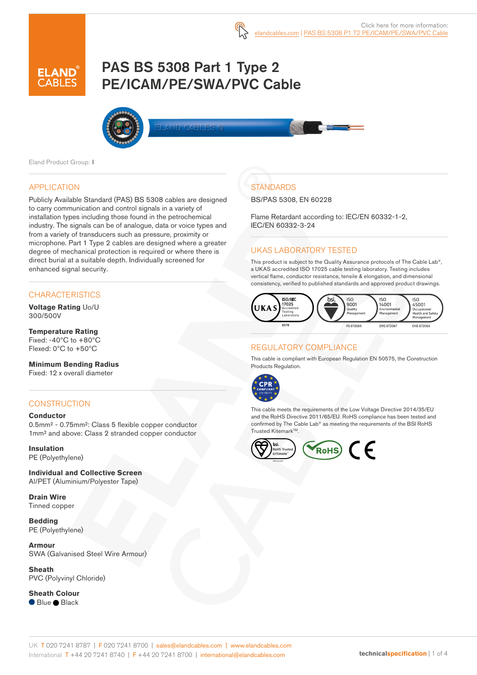# PAS BS 5308 Part 1 Type 2 PE/ICAM/PE/SWA/PVC Cable



Eland Product Group: I

#### APPLICATION

Publicly Available Standard (PAS) BS 5308 cables are designed to carry communication and control signals in a variety of installation types including those found in the petrochemical industry. The signals can be of analogue, data or voice types and from a variety of transducers such as pressure, proximity or microphone. Part 1 Type 2 cables are designed where a greater degree of mechanical protection is required or where there is direct burial at a suitable depth. Individually screened for enhanced signal security.

#### **CHARACTERISTICS**

**Voltage Rating** Uo/U 300/500V

**Temperature Rating** Fixed: -40ºC to +80ºC Flexed: 0ºC to +50ºC

#### **Minimum Bending Radius**

Fixed: 12 x overall diameter

### **CONSTRUCTION**

#### **Conductor**

0.5mm² - 0.75mm²: Class 5 flexible copper conductor 1mm² and above: Class 2 stranded copper conductor

**Insulation** PE (Polyethylene)

**Individual and Collective Screen** Al/PET (Aluminium/Polyester Tape)

**Drain Wire** Tinned copper

**Bedding** PE (Polyethylene)

**Armour** SWA (Galvanised Steel Wire Armour)

**Sheath** PVC (Polyvinyl Chloride)

**Sheath Colour** ● Blue ● Black

### **STANDARDS**

BS/PAS 5308, EN 60228

Flame Retardant according to: IEC/EN 60332-1-2, IEC/EN 60332-3-24

#### UKAS LABORATORY TESTED

This product is subject to the Quality Assurance protocols of The Cable Lab®, a UKAS accredited ISO 17025 cable testing laboratory. Testing includes vertical flame, conductor resistance, tensile & elongation, and dimensional consistency, verified to published standards and approved product drawings.



#### REGULATORY COMPLIANCE

This cable is compliant with European Regulation EN 50575, the Construction Products Regulation.



This cable meets the requirements of the Low Voltage Directive 2014/35/EU and the RoHS Directive 2011/65/EU. RoHS compliance has been tested and confirmed by The Cable Lab® as meeting the requirements of the BSI RoHS Trusted Kitemark™.

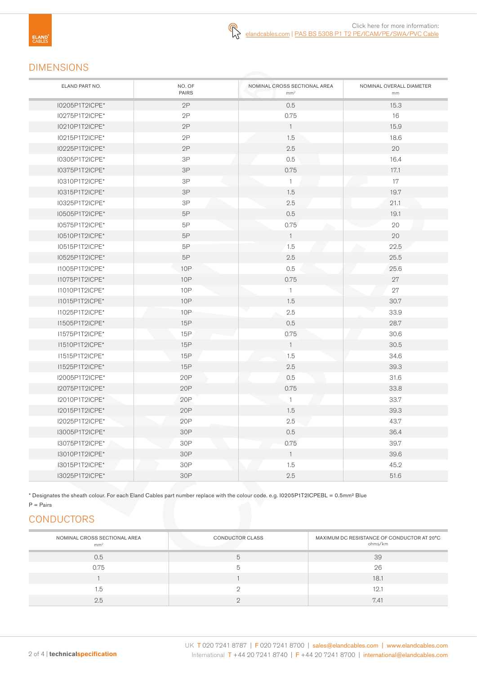### DIMENSIONS

| ELAND PART NO. | NO. OF<br><b>PAIRS</b> | NOMINAL CROSS SECTIONAL AREA<br>mm <sup>2</sup> | NOMINAL OVERALL DIAMETER<br>mm |
|----------------|------------------------|-------------------------------------------------|--------------------------------|
| I0205P1T2ICPE* | 2P                     | 0.5                                             | 15.3                           |
| I0275P1T2ICPE* | 2P                     | 0.75                                            | 16                             |
| I0210P1T2ICPE* | 2P                     | $\mathbf{1}$                                    | 15.9                           |
| I0215P1T2ICPE* | 2P                     | 1.5                                             | 18.6                           |
| I0225P1T2ICPE* | 2P                     | 2.5                                             | 20                             |
| 10305P1T2ICPE* | 3P                     | 0.5                                             | 16.4                           |
| 10375P1T2ICPE* | 3P                     | 0.75                                            | 17.1                           |
| I0310P1T2ICPE* | 3P                     | $\overline{1}$                                  | 17                             |
| 10315P1T2ICPE* | $3P$                   | 1.5                                             | 19.7                           |
| I0325P1T2ICPE* | $3\mathsf{P}$          | 2.5                                             | 21.1                           |
| I0505P1T2ICPE* | 5P                     | 0.5                                             | 19.1                           |
| I0575P1T2ICPE* | 5P                     | 0.75                                            | 20                             |
| I0510P1T2ICPE* | 5P                     | $\mathbf{1}$                                    | 20                             |
| I0515P1T2ICPE* | 5P                     | 1.5                                             | 22.5                           |
| I0525P1T2ICPE* | 5P                     | 2.5                                             | 25.5                           |
| I1005P1T2ICPE* | <b>10P</b>             | 0.5                                             | 25.6                           |
| I1075P1T2ICPE* | <b>10P</b>             | 0.75                                            | 27                             |
| I1010P1T2ICPE* | <b>10P</b>             | $\mathbf{1}$                                    | 27                             |
| I1015P1T2ICPE* | <b>10P</b>             | 1.5                                             | 30.7                           |
| I1025P1T2ICPE* | 10P                    | 2.5                                             | 33.9                           |
| I1505P1T2ICPE* | 15P                    | 0.5                                             | 28.7                           |
| I1575P1T2ICPE* | 15P                    | 0.75                                            | 30.6                           |
| 11510P1T2ICPE* | 15P                    | $\overline{1}$                                  | 30.5                           |
| I1515P1T2ICPE* | 15P                    | 1.5                                             | 34.6                           |
| I1525P1T2ICPE* | 15P                    | 2.5                                             | 39.3                           |
| 12005P1T2ICPE* | 20P                    | 0.5                                             | 31.6                           |
| I2075P1T2ICPE* | 20P                    | 0.75                                            | 33.8                           |
| 12010P1T2ICPE* | 20P                    | $\mathbf{1}$                                    | 33.7                           |
| I2015P1T2ICPE* | 20P                    | 1.5                                             | 39.3                           |
| 12025P1T2ICPE* | 20P                    | 2.5                                             | 43.7                           |
| I3005P1T2ICPE* | 30P                    | 0.5                                             | 36.4                           |
| I3075P1T2ICPE* | 30P                    | 0.75                                            | 39.7                           |
| I3010P1T2ICPE* | 30P                    | $\overline{1}$                                  | 39.6                           |
| I3015P1T2ICPE* | 30P                    | 1.5                                             | 45.2                           |
| 13025P1T2ICPE* | 30P                    | 2.5                                             | 51.6                           |

\* Designates the sheath colour. For each Eland Cables part number replace with the colour code. e.g. I0205P1T2ICPEBL = 0.5mm² Blue

### $P = \text{Pairs}$

## **CONDUCTORS**

| NOMINAL CROSS SECTIONAL AREA<br>mm <sup>2</sup> | CONDUCTOR CLASS | MAXIMUM DC RESISTANCE OF CONDUCTOR AT 20°C<br>ohms/km |
|-------------------------------------------------|-----------------|-------------------------------------------------------|
| 0.5                                             |                 | 39                                                    |
| 0.75                                            |                 | 26                                                    |
|                                                 |                 | 18.1                                                  |
| 1.5                                             |                 | 12.1                                                  |
| 2.5                                             |                 | 7.41                                                  |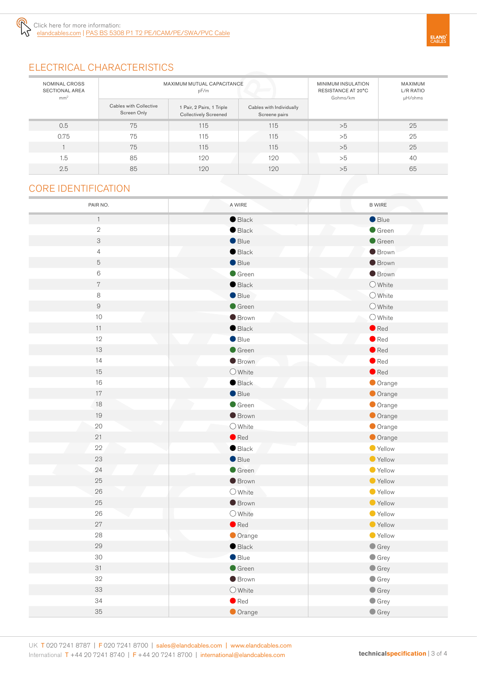

### ELECTRICAL CHARACTERISTICS

| NOMINAL CROSS<br><b>SECTIONAL AREA</b><br>mm <sup>2</sup> | MAXIMUM MUTUAL CAPACITANCE<br>pF/m    |                                                           |                                           | MINIMUM INSULATION<br>RESISTANCE AT 20°C<br>Gohms/km | MAXIMUM<br>L/R RATIO<br>µH/ohms |
|-----------------------------------------------------------|---------------------------------------|-----------------------------------------------------------|-------------------------------------------|------------------------------------------------------|---------------------------------|
|                                                           | Cables with Collective<br>Screen Only | 1 Pair, 2 Pairs, 1 Triple<br><b>Collectively Screened</b> | Cables with Individually<br>Screene pairs |                                                      |                                 |
| 0.5                                                       | 75                                    | 115                                                       | 115                                       | >5                                                   | 25                              |
| 0.75                                                      | 75                                    | 115                                                       | 115                                       | >5                                                   | 25                              |
|                                                           | 75                                    | 115                                                       | 115                                       | >5                                                   | 25                              |
| 1.5                                                       | 85                                    | 120                                                       | 120                                       | >5                                                   | 40                              |
| 2.5                                                       | 85                                    | 120                                                       | 120                                       | >5                                                   | 65                              |

### CORE IDENTIFICATION

| PAIR NO.                  | A WIRE           | <b>B WIRE</b>    |
|---------------------------|------------------|------------------|
| $\mathbf{1}$              | $\bullet$ Black  | Blue             |
| $\sqrt{2}$                | $\bullet$ Black  | Green            |
| $\ensuremath{\mathsf{3}}$ | Blue             | $\bullet$ Green  |
| $\overline{4}$            | $\bullet$ Black  | <b>Brown</b>     |
| $\mathbf 5$               | Blue             | <b>Brown</b>     |
| $\,6$                     | $\bullet$ Green  | <b>Brown</b>     |
| $\,7$                     | $\bullet$ Black  | $\bigcirc$ White |
| 8                         | $\bullet$ Blue   | O White          |
| $\hbox{9}$                | $\bullet$ Green  | $\bigcirc$ White |
| $10$                      | <b>Brown</b>     | $\bigcirc$ White |
| 11                        | $\bullet$ Black  | $\bullet$ Red    |
| 12                        | $\bullet$ Blue   | $\bullet$ Red    |
| 13                        | $\bullet$ Green  | $\bullet$ Red    |
| 14                        | <b>Brown</b>     | $\bullet$ Red    |
| 15                        | $O$ White        | $\bullet$ Red    |
| 16                        | $\bullet$ Black  | Orange           |
| 17                        | Blue             | Orange           |
| 18                        | Green            | Orange           |
| 19                        | <b>Brown</b>     | Orange           |
| $20\,$                    | $\bigcirc$ White | Orange           |
| 21                        | $\bullet$ Red    | Orange           |
| 22                        | $\bullet$ Black  | Yellow           |
| 23                        | $\bullet$ Blue   | ● Yellow         |
| 24                        | Green            | ● Yellow         |
| 25                        | <b>Brown</b>     | ● Yellow         |
| $26\,$                    | $\bigcirc$ White | Yellow           |
| 25                        | <b>Brown</b>     | ● Yellow         |
| 26                        | $\bigcirc$ White | ● Yellow         |
| 27                        | $\bullet$ Red    | ● Yellow         |
| ${\bf 28}$                | Orange           | Vellow           |
| 29                        | $\bullet$ Black  | $\bullet$ Grey   |
| 30                        | $\bullet$ Blue   | $\bullet$ Grey   |
| 31<br>32                  | $\bullet$ Green  | $\bullet$ Grey   |
| 33                        | <b>Brown</b>     | $\bullet$ Grey   |
| 34                        | $\bigcirc$ White | $\bullet$ Grey   |
|                           | $\bullet$ Red    | $\bullet$ Grey   |
| $35\,$                    | Orange           | $\bullet$ Grey   |